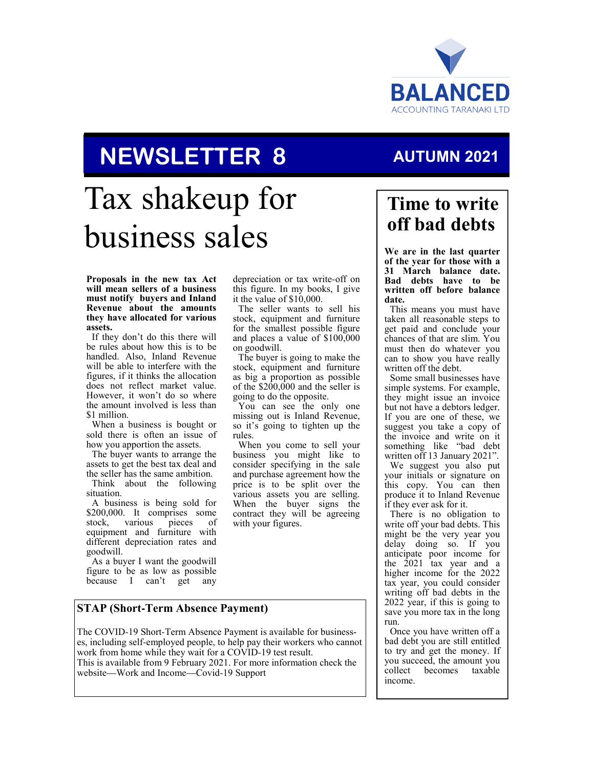

# **NEWSLETTER 8**

# Tax shakeup for business sales

#### **Proposals in the new tax Act will mean sellers of a business must notify buyers and Inland Revenue about the amounts they have allocated for various assets.**

If they don't do this there will be rules about how this is to be handled. Also, Inland Revenue will be able to interfere with the figures, if it thinks the allocation does not reflect market value. However, it won't do so where the amount involved is less than \$1 million.

When a business is bought or sold there is often an issue of how you apportion the assets.

The buyer wants to arrange the assets to get the best tax deal and the seller has the same ambition.

Think about the following situation.

A business is being sold for \$200,000. It comprises some<br>stock, various pieces of stock, various equipment and furniture with different depreciation rates and goodwill.

As a buyer I want the goodwill figure to be as low as possible because I can't get any depreciation or tax write-off on this figure. In my books, I give it the value of \$10,000.

The seller wants to sell his stock, equipment and furniture for the smallest possible figure and places a value of \$100,000 on goodwill.

The buyer is going to make the stock, equipment and furniture as big a proportion as possible of the \$200,000 and the seller is going to do the opposite.

You can see the only one missing out is Inland Revenue, so it's going to tighten up the rules.

When you come to sell your business you might like to consider specifying in the sale and purchase agreement how the price is to be split over the various assets you are selling. When the buyer signs the contract they will be agreeing with your figures.

# **Time to write off bad debts**

**AUTUMN 2021**

**We are in the last quarter of the year for those with a 31 March balance date. Bad debts have to be written off before balance date.** 

This means you must have taken all reasonable steps to get paid and conclude your chances of that are slim. You must then do whatever you can to show you have really written off the debt.

Some small businesses have simple systems. For example, they might issue an invoice but not have a debtors ledger. If you are one of these, we suggest you take a copy of the invoice and write on it something like "bad debt written off 13 January 2021". We suggest you also put your initials or signature on

this copy. You can then produce it to Inland Revenue if they ever ask for it.

There is no obligation to write off your bad debts. This might be the very year you delay doing so. If you anticipate poor income for the 2021 tax year and a higher income for the 2022 tax year, you could consider writing off bad debts in the 2022 year, if this is going to save you more tax in the long run.

Once you have written off a bad debt you are still entitled to try and get the money. If you succeed, the amount you<br>collect becomes taxable becomes income.

#### **STAP (Short-Term Absence Payment)**

The COVID-19 Short-Term Absence Payment is available for businesses, including self-employed people, to help pay their workers who cannot work from home while they wait for a COVID-19 test result. This is available from 9 February 2021. For more information check the website—Work and Income—Covid-19 Support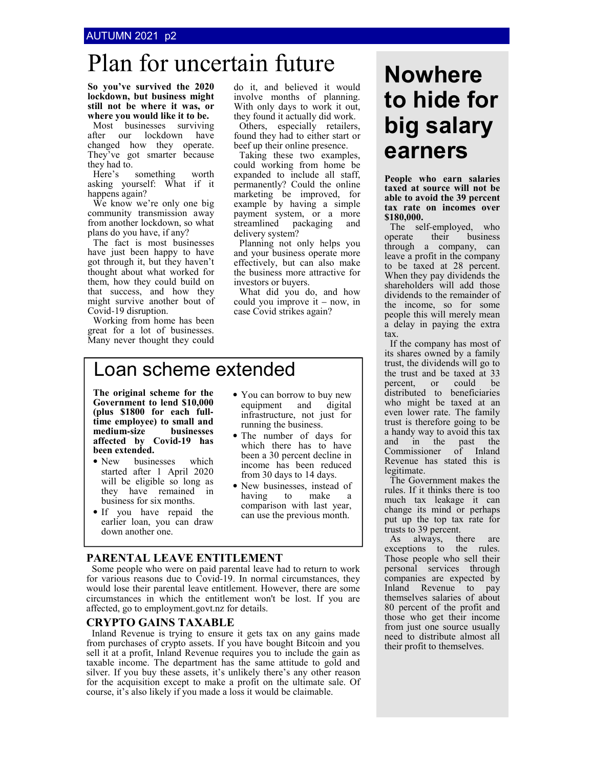#### AUTUMN 2021 p2

# Plan for uncertain future **Nowhere**

**So you've survived the 2020 lockdown, but business might still not be where it was, or where you would like it to be.**

Most businesses surviving after our lockdown have changed how they operate. They've got smarter because they had to.<br>Here's

something worth asking yourself: What if it happens again?

We know we're only one big community transmission away from another lockdown, so what plans do you have, if any?

The fact is most businesses have just been happy to have got through it, but they haven't thought about what worked for them, how they could build on that success, and how they might survive another bout of Covid-19 disruption.

Working from home has been great for a lot of businesses. Many never thought they could do it, and believed it would involve months of planning. With only days to work it out, they found it actually did work.

Others, especially retailers, found they had to either start or beef up their online presence.

Taking these two examples, could working from home be expanded to include all staff, permanently? Could the online marketing be improved, for example by having a simple payment system, or a more streamlined packaging and delivery system?

Planning not only helps you and your business operate more effectively, but can also make the business more attractive for investors or buyers.

What did you do, and how could you improve it – now, in case Covid strikes again?

# Loan scheme extended

**The original scheme for the Government to lend \$10,000 (plus \$1800 for each fulltime employee) to small and**   $median$ **-size affected by Covid-19 has been extended.**

- New businesses which started after 1 April 2020 will be eligible so long as they have remained in business for six months.
- If you have repaid the earlier loan, you can draw down another one.
- You can borrow to buy new equipment and digital infrastructure, not just for running the business.
- The number of days for which there has to have been a 30 percent decline in income has been reduced from 30 days to 14 days.
- New businesses, instead of having to make a comparison with last year, can use the previous month.

#### **PARENTAL LEAVE ENTITLEMENT**

Some people who were on paid parental leave had to return to work for various reasons due to Covid-19. In normal circumstances, they would lose their parental leave entitlement. However, there are some circumstances in which the entitlement won't be lost. If you are affected, go to employment.govt.nz for details.

#### **CRYPTO GAINS TAXABLE**

Inland Revenue is trying to ensure it gets tax on any gains made from purchases of crypto assets. If you have bought Bitcoin and you sell it at a profit, Inland Revenue requires you to include the gain as taxable income. The department has the same attitude to gold and silver. If you buy these assets, it's unlikely there's any other reason for the acquisition except to make a profit on the ultimate sale. Of course, it's also likely if you made a loss it would be claimable.

# **to hide for big salary earners**

**People who earn salaries taxed at source will not be able to avoid the 39 percent tax rate on incomes over \$180,000.** 

The self-employed, who operate their business through a company, can leave a profit in the company to be taxed at 28 percent. When they pay dividends the shareholders will add those dividends to the remainder of the income, so for some people this will merely mean a delay in paying the extra tax.

If the company has most of its shares owned by a family trust, the dividends will go to the trust and be taxed at 33 percent, or could be distributed to beneficiaries who might be taxed at an even lower rate. The family trust is therefore going to be a handy way to avoid this tax and in the past the Commissioner of Inland Revenue has stated this is legitimate.

The Government makes the rules. If it thinks there is too much tax leakage it can change its mind or perhaps put up the top tax rate for trusts to 39 percent.

As always, there are exceptions to the rules. Those people who sell their personal services through companies are expected by Inland Revenue to pay themselves salaries of about 80 percent of the profit and those who get their income from just one source usually need to distribute almost all their profit to themselves.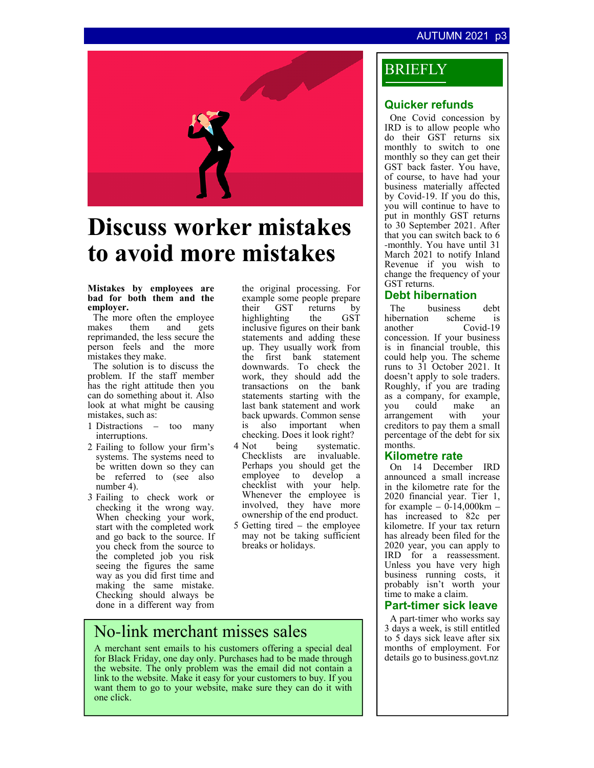#### **AUTUMN 2021**



# **Discuss worker mistakes to avoid more mistakes**

#### **Mistakes by employees are bad for both them and the employer.**

The more often the employee makes them and gets reprimanded, the less secure the person feels and the more mistakes they make.

The solution is to discuss the problem. If the staff member has the right attitude then you can do something about it. Also look at what might be causing mistakes, such as:

- 1 Distractions too many interruptions.
- 2 Failing to follow your firm's systems. The systems need to be written down so they can be referred to (see also number 4).
- 3 Failing to check work or checking it the wrong way. When checking your work, start with the completed work and go back to the source. If you check from the source to the completed job you risk seeing the figures the same way as you did first time and making the same mistake. Checking should always be done in a different way from

the original processing. For example some people prepare<br>their GST returns by returns by<br>the GST highting inclusive figures on their bank statements and adding these up. They usually work from the first bank statement downwards. To check the work, they should add the transactions on the bank statements starting with the last bank statement and work back upwards. Common sense is also important when checking. Does it look right?<br>Not being systematic

- 4 Not being systematic. Checklists are invaluable. Perhaps you should get the employee to develop a checklist with your help. Whenever the employee is involved, they have more ownership of the end product.
- 5 Getting tired the employee may not be taking sufficient breaks or holidays.

## No-link merchant misses sales

A merchant sent emails to his customers offering a special deal for Black Friday, one day only. Purchases had to be made through the website. The only problem was the email did not contain a link to the website. Make it easy for your customers to buy. If you want them to go to your website, make sure they can do it with one click.

### BRIEFLY

#### **Quicker refunds**

One Covid concession by IRD is to allow people who do their GST returns six monthly to switch to one monthly so they can get their GST back faster. You have, of course, to have had your business materially affected by Covid-19. If you do this, you will continue to have to put in monthly GST returns to 30 September 2021. After that you can switch back to 6 -monthly. You have until 31 March 2021 to notify Inland Revenue if you wish to change the frequency of your GST returns.

#### **Debt hibernation**

The business debt<br>ibernation scheme is hibernation scheme is another Covid-19 concession. If your business is in financial trouble, this could help you. The scheme runs to 31 October 2021. It doesn't apply to sole traders. Roughly, if you are trading as a company, for example, make an<br>with your arrangement creditors to pay them a small percentage of the debt for six months.

#### **Kilometre rate**

On 14 December IRD announced a small increase in the kilometre rate for the 2020 financial year. Tier 1, for example –  $0-14,000 \text{km}$  – has increased to 82c per kilometre. If your tax return has already been filed for the 2020 year, you can apply to IRD for a reassessment. Unless you have very high business running costs, it probably isn't worth your time to make a claim.

#### **Part-timer sick leave**

A part-timer who works say 3 days a week, is still entitled to 5 days sick leave after six months of employment. For details go to business.govt.nz